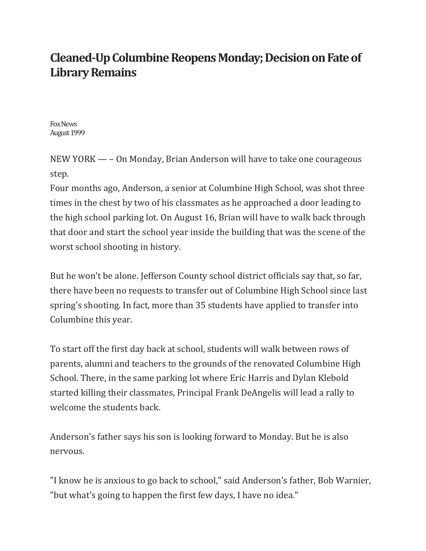## **Cleaned-Up Columbine Reopens Monday; Decision on Fate of Library Remains**

Fox News August 1999

NEW YORK — – On Monday, Brian Anderson will have to take one courageous step.

Four months ago, Anderson, a senior at Columbine High School, was shot three times in the chest by two of his classmates as he approached a door leading to the high school parking lot. On August 16, Brian will have to walk back through that door and start the school year inside the building that was the scene of the worst school shooting in history.

But he won't be alone. Jefferson County school district officials say that, so far, there have been no requests to transfer out of Columbine High School since last spring's shooting. In fact, more than 35 students have applied to transfer into Columbine this year.

To start off the first day back at school, students will walk between rows of parents, alumni and teachers to the grounds of the renovated Columbine High School. There, in the same parking lot where Eric Harris and Dylan Klebold started killing their classmates, Principal Frank DeAngelis will lead a rally to welcome the students back.

Anderson's father says his son is looking forward to Monday. But he is also nervous.

"I know he is anxious to go back to school," said Anderson's father, Bob Warnier, "but what's going to happen the first few days, I have no idea."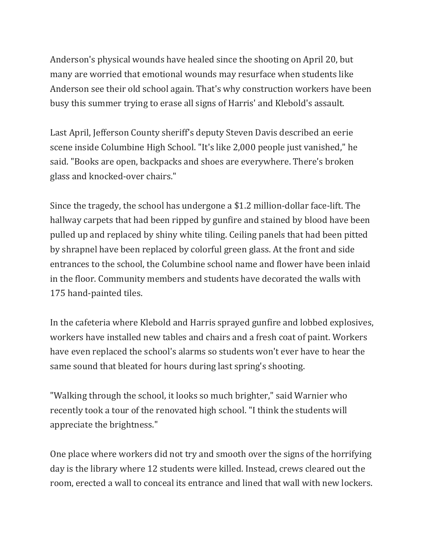Anderson's physical wounds have healed since the shooting on April 20, but many are worried that emotional wounds may resurface when students like Anderson see their old school again. That's why construction workers have been busy this summer trying to erase all signs of Harris' and Klebold's assault.

Last April, Jefferson County sheriff's deputy Steven Davis described an eerie scene inside Columbine High School. "It's like 2,000 people just vanished," he said. "Books are open, backpacks and shoes are everywhere. There's broken glass and knocked-over chairs."

Since the tragedy, the school has undergone a \$1.2 million-dollar face-lift. The hallway carpets that had been ripped by gunfire and stained by blood have been pulled up and replaced by shiny white tiling. Ceiling panels that had been pitted by shrapnel have been replaced by colorful green glass. At the front and side entrances to the school, the Columbine school name and flower have been inlaid in the floor. Community members and students have decorated the walls with 175 hand-painted tiles.

In the cafeteria where Klebold and Harris sprayed gunfire and lobbed explosives, workers have installed new tables and chairs and a fresh coat of paint. Workers have even replaced the school's alarms so students won't ever have to hear the same sound that bleated for hours during last spring's shooting.

"Walking through the school, it looks so much brighter," said Warnier who recently took a tour of the renovated high school. "I think the students will appreciate the brightness."

One place where workers did not try and smooth over the signs of the horrifying day is the library where 12 students were killed. Instead, crews cleared out the room, erected a wall to conceal its entrance and lined that wall with new lockers.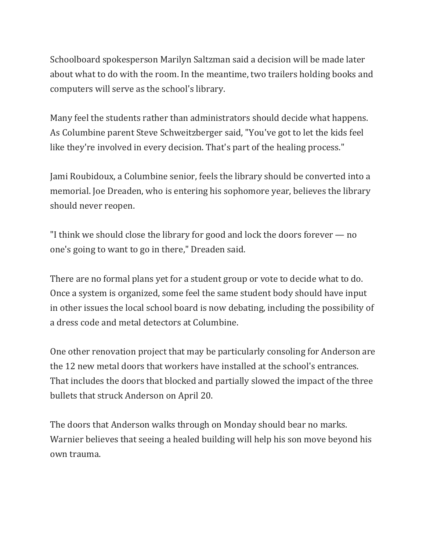Schoolboard spokesperson Marilyn Saltzman said a decision will be made later about what to do with the room. In the meantime, two trailers holding books and computers will serve as the school's library.

Many feel the students rather than administrators should decide what happens. As Columbine parent Steve Schweitzberger said, "You've got to let the kids feel like they're involved in every decision. That's part of the healing process."

Jami Roubidoux, a Columbine senior, feels the library should be converted into a memorial. Joe Dreaden, who is entering his sophomore year, believes the library should never reopen.

"I think we should close the library for good and lock the doors forever — no one's going to want to go in there," Dreaden said.

There are no formal plans yet for a student group or vote to decide what to do. Once a system is organized, some feel the same student body should have input in other issues the local school board is now debating, including the possibility of a dress code and metal detectors at Columbine.

One other renovation project that may be particularly consoling for Anderson are the 12 new metal doors that workers have installed at the school's entrances. That includes the doors that blocked and partially slowed the impact of the three bullets that struck Anderson on April 20.

The doors that Anderson walks through on Monday should bear no marks. Warnier believes that seeing a healed building will help his son move beyond his own trauma.